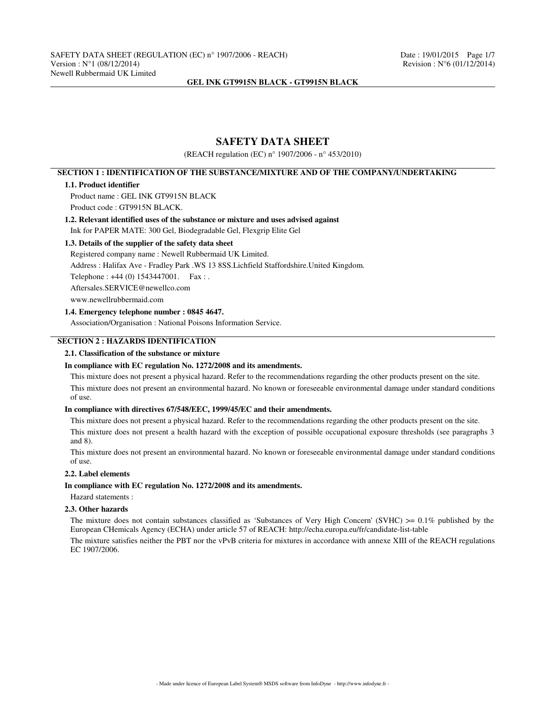# **SAFETY DATA SHEET**

(REACH regulation (EC) n° 1907/2006 - n° 453/2010)

# **SECTION 1 : IDENTIFICATION OF THE SUBSTANCE/MIXTURE AND OF THE COMPANY/UNDERTAKING**

## **1.1. Product identifier**

Product name : GEL INK GT9915N BLACK Product code : GT9915N BLACK.

# **1.2. Relevant identified uses of the substance or mixture and uses advised against** Ink for PAPER MATE: 300 Gel, Biodegradable Gel, Flexgrip Elite Gel

#### **1.3. Details of the supplier of the safety data sheet**

Registered company name : Newell Rubbermaid UK Limited.

Address : Halifax Ave - Fradley Park .WS 13 8SS.Lichfield Staffordshire.United Kingdom.

Telephone : +44 (0) 1543447001. Fax : .

Aftersales.SERVICE@newellco.com

www.newellrubbermaid.com

## **1.4. Emergency telephone number : 0845 4647.**

Association/Organisation : National Poisons Information Service.

# **SECTION 2 : HAZARDS IDENTIFICATION**

## **2.1. Classification of the substance or mixture**

#### **In compliance with EC regulation No. 1272/2008 and its amendments.**

This mixture does not present a physical hazard. Refer to the recommendations regarding the other products present on the site. This mixture does not present an environmental hazard. No known or foreseeable environmental damage under standard conditions of use.

#### **In compliance with directives 67/548/EEC, 1999/45/EC and their amendments.**

This mixture does not present a physical hazard. Refer to the recommendations regarding the other products present on the site.

This mixture does not present a health hazard with the exception of possible occupational exposure thresholds (see paragraphs 3 and 8).

This mixture does not present an environmental hazard. No known or foreseeable environmental damage under standard conditions of use.

#### **2.2. Label elements**

## **In compliance with EC regulation No. 1272/2008 and its amendments.**

#### Hazard statements :

#### **2.3. Other hazards**

The mixture does not contain substances classified as 'Substances of Very High Concern' (SVHC)  $\geq 0.1\%$  published by the European CHemicals Agency (ECHA) under article 57 of REACH: http://echa.europa.eu/fr/candidate-list-table

The mixture satisfies neither the PBT nor the vPvB criteria for mixtures in accordance with annexe XIII of the REACH regulations EC 1907/2006.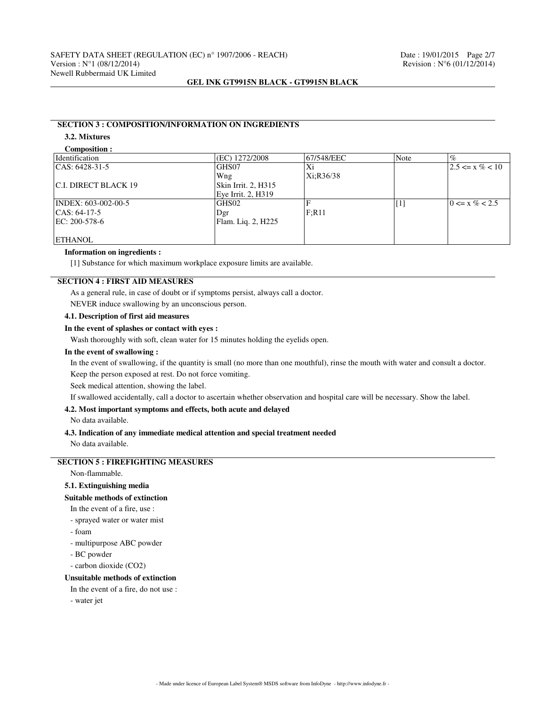# **SECTION 3 : COMPOSITION/INFORMATION ON INGREDIENTS**

# **3.2. Mixtures**

**Composition :**

| Identification       | (EC) 1272/2008      | 67/548/EEC | Note              | $\%$                |
|----------------------|---------------------|------------|-------------------|---------------------|
| $ CAS: 6428-31-5$    | GHS07               | Xi         |                   | $2.5 \le x \% < 10$ |
|                      | Wng                 | Xi:R36/38  |                   |                     |
| C.I. DIRECT BLACK 19 | Skin Irrit. 2, H315 |            |                   |                     |
|                      | Eye Irrit. 2, H319  |            |                   |                     |
| INDEX: 603-002-00-5  | GHS <sub>02</sub>   |            | $\lceil 1 \rceil$ | $0 \le x \% < 2.5$  |
| $ CAS: 64-17-5$      | Dgr                 | F:R11      |                   |                     |
| EC: 200-578-6        | Flam. Liq. 2, H225  |            |                   |                     |
|                      |                     |            |                   |                     |
| <b>ETHANOL</b>       |                     |            |                   |                     |

#### **Information on ingredients :**

[1] Substance for which maximum workplace exposure limits are available.

# **SECTION 4 : FIRST AID MEASURES**

As a general rule, in case of doubt or if symptoms persist, always call a doctor.

NEVER induce swallowing by an unconscious person.

## **4.1. Description of first aid measures**

#### **In the event of splashes or contact with eyes :**

Wash thoroughly with soft, clean water for 15 minutes holding the eyelids open.

#### **In the event of swallowing :**

In the event of swallowing, if the quantity is small (no more than one mouthful), rinse the mouth with water and consult a doctor. Keep the person exposed at rest. Do not force vomiting.

Seek medical attention, showing the label.

If swallowed accidentally, call a doctor to ascertain whether observation and hospital care will be necessary. Show the label.

## **4.2. Most important symptoms and effects, both acute and delayed**

No data available.

## **4.3. Indication of any immediate medical attention and special treatment needed**

No data available.

# **SECTION 5 : FIREFIGHTING MEASURES**

Non-flammable.

## **5.1. Extinguishing media**

**Suitable methods of extinction**

In the event of a fire, use :

- sprayed water or water mist
- foam
- multipurpose ABC powder
- BC powder
- carbon dioxide (CO2)

#### **Unsuitable methods of extinction**

In the event of a fire, do not use :

- water jet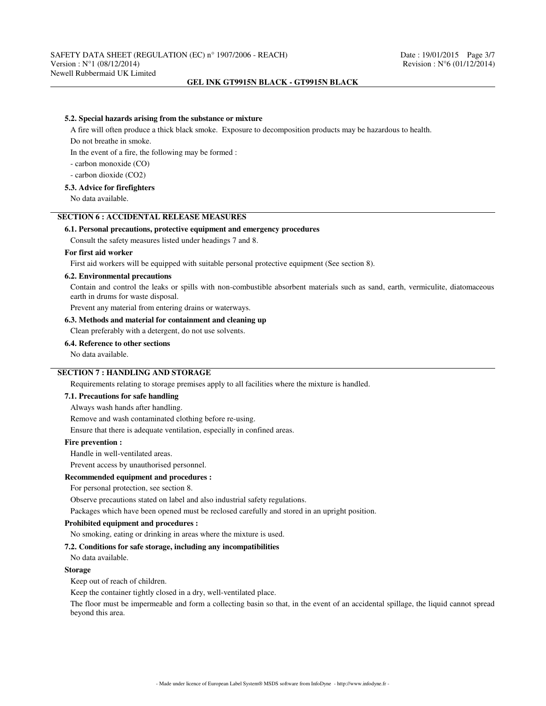#### **5.2. Special hazards arising from the substance or mixture**

A fire will often produce a thick black smoke. Exposure to decomposition products may be hazardous to health.

Do not breathe in smoke.

In the event of a fire, the following may be formed :

- carbon monoxide (CO)

- carbon dioxide (CO2)

## **5.3. Advice for firefighters**

No data available.

## **SECTION 6 : ACCIDENTAL RELEASE MEASURES**

## **6.1. Personal precautions, protective equipment and emergency procedures**

Consult the safety measures listed under headings 7 and 8.

# **For first aid worker**

First aid workers will be equipped with suitable personal protective equipment (See section 8).

#### **6.2. Environmental precautions**

Contain and control the leaks or spills with non-combustible absorbent materials such as sand, earth, vermiculite, diatomaceous earth in drums for waste disposal.

Prevent any material from entering drains or waterways.

## **6.3. Methods and material for containment and cleaning up**

Clean preferably with a detergent, do not use solvents.

#### **6.4. Reference to other sections**

No data available.

# **SECTION 7 : HANDLING AND STORAGE**

Requirements relating to storage premises apply to all facilities where the mixture is handled.

### **7.1. Precautions for safe handling**

Always wash hands after handling.

Remove and wash contaminated clothing before re-using.

Ensure that there is adequate ventilation, especially in confined areas.

#### **Fire prevention :**

Handle in well-ventilated areas.

Prevent access by unauthorised personnel.

#### **Recommended equipment and procedures :**

For personal protection, see section 8.

Observe precautions stated on label and also industrial safety regulations.

Packages which have been opened must be reclosed carefully and stored in an upright position.

## **Prohibited equipment and procedures :**

No smoking, eating or drinking in areas where the mixture is used.

#### **7.2. Conditions for safe storage, including any incompatibilities**

No data available.

#### **Storage**

Keep out of reach of children.

Keep the container tightly closed in a dry, well-ventilated place.

The floor must be impermeable and form a collecting basin so that, in the event of an accidental spillage, the liquid cannot spread beyond this area.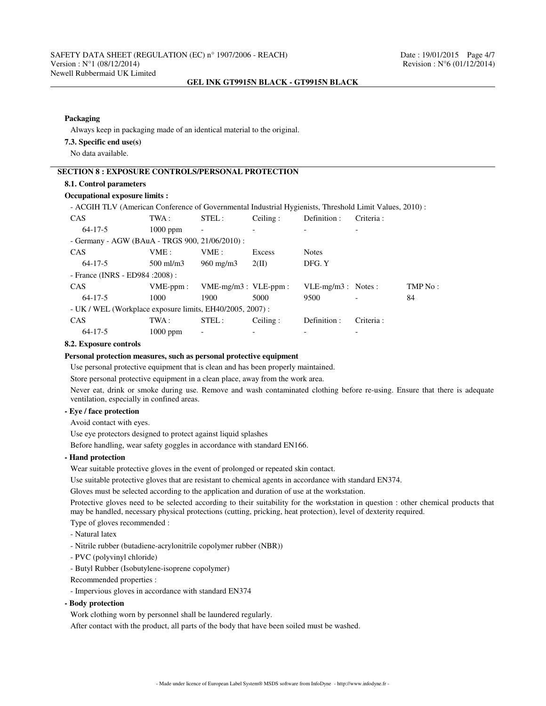### **Packaging**

Always keep in packaging made of an identical material to the original.

## **7.3. Specific end use(s)**

No data available.

# **SECTION 8 : EXPOSURE CONTROLS/PERSONAL PROTECTION**

## **8.1. Control parameters**

# **Occupational exposure limits :**

- ACGIH TLV (American Conference of Governmental Industrial Hygienists, Threshold Limit Values, 2010) :

| <b>CAS</b>                                               | TWA :       | STEL:                     | Ceiling: | Definition :         | Criteria:  |         |
|----------------------------------------------------------|-------------|---------------------------|----------|----------------------|------------|---------|
| $64 - 17 - 5$                                            | $1000$ ppm  |                           |          |                      |            |         |
| - Germany - AGW (BAuA - TRGS 900, 21/06/2010) :          |             |                           |          |                      |            |         |
| <b>CAS</b>                                               | VME :       | VME :                     | Excess   | <b>Notes</b>         |            |         |
| $64 - 17 - 5$                                            | $500$ ml/m3 | $960 \text{ mg/m}$        | 2(II)    | DFG. Y               |            |         |
| - France (INRS - ED984 : 2008) :                         |             |                           |          |                      |            |         |
| <b>CAS</b>                                               | $VME-ppm$ : | $VME-mg/m3$ : $VLE-ppm$ : |          | $VLE-mg/m3$ : Notes: |            | TMP No: |
| $64 - 17 - 5$                                            | 1000        | 1900                      | 5000     | 9500                 |            | 84      |
| - UK / WEL (Workplace exposure limits, EH40/2005, 2007): |             |                           |          |                      |            |         |
| CAS                                                      | TWA :       | STEL:                     | Ceiling: | Definition :         | Criteria : |         |
| $64 - 17 - 5$                                            | $1000$ ppm  | $\overline{\phantom{a}}$  |          |                      |            |         |

### **8.2. Exposure controls**

#### **Personal protection measures, such as personal protective equipment**

Use personal protective equipment that is clean and has been properly maintained.

Store personal protective equipment in a clean place, away from the work area.

Never eat, drink or smoke during use. Remove and wash contaminated clothing before re-using. Ensure that there is adequate ventilation, especially in confined areas.

#### **- Eye / face protection**

Avoid contact with eyes.

Use eye protectors designed to protect against liquid splashes

Before handling, wear safety goggles in accordance with standard EN166.

# **- Hand protection**

Wear suitable protective gloves in the event of prolonged or repeated skin contact.

Use suitable protective gloves that are resistant to chemical agents in accordance with standard EN374.

Gloves must be selected according to the application and duration of use at the workstation.

Protective gloves need to be selected according to their suitability for the workstation in question : other chemical products that may be handled, necessary physical protections (cutting, pricking, heat protection), level of dexterity required.

Type of gloves recommended :

- Natural latex
- Nitrile rubber (butadiene-acrylonitrile copolymer rubber (NBR))
- PVC (polyvinyl chloride)
- Butyl Rubber (Isobutylene-isoprene copolymer)

Recommended properties :

- Impervious gloves in accordance with standard EN374

**- Body protection**

Work clothing worn by personnel shall be laundered regularly.

After contact with the product, all parts of the body that have been soiled must be washed.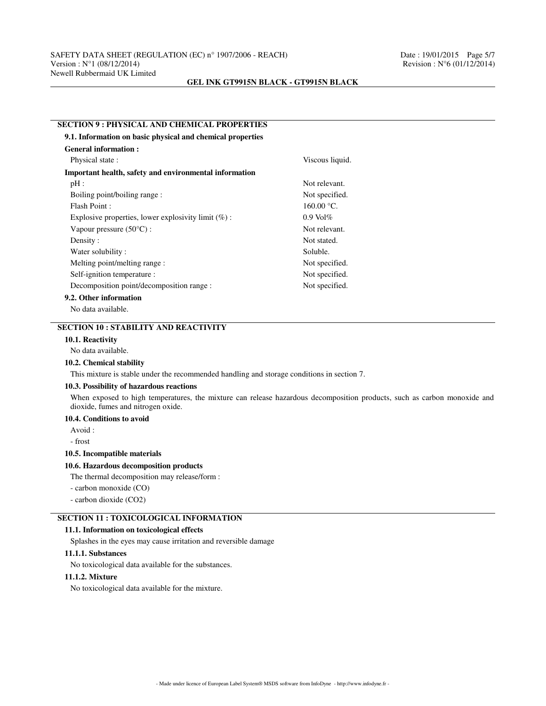#### **SECTION 9 : PHYSICAL AND CHEMICAL PROPERTIES**

| 9.1. Information on basic physical and chemical properties |                 |  |
|------------------------------------------------------------|-----------------|--|
| <b>General information:</b>                                |                 |  |
| Physical state:                                            | Viscous liquid. |  |
| Important health, safety and environmental information     |                 |  |
| pH:                                                        | Not relevant.   |  |
| Boiling point/boiling range:                               | Not specified.  |  |
| Flash Point:                                               | 160.00 °C.      |  |
| Explosive properties, lower explosivity limit $(\%)$ :     | $0.9$ Vol $\%$  |  |
| Vapour pressure $(50^{\circ}C)$ :                          | Not relevant.   |  |
| Density:                                                   | Not stated.     |  |
| Water solubility:                                          | Soluble.        |  |
| Melting point/melting range :                              | Not specified.  |  |
| Self-ignition temperature :                                | Not specified.  |  |
| Decomposition point/decomposition range :                  | Not specified.  |  |
| 9.2. Other information                                     |                 |  |
| No data available.                                         |                 |  |

## **SECTION 10 : STABILITY AND REACTIVITY**

#### **10.1. Reactivity**

No data available.

### **10.2. Chemical stability**

This mixture is stable under the recommended handling and storage conditions in section 7.

#### **10.3. Possibility of hazardous reactions**

When exposed to high temperatures, the mixture can release hazardous decomposition products, such as carbon monoxide and dioxide, fumes and nitrogen oxide.

## **10.4. Conditions to avoid**

Avoid :

- frost

## **10.5. Incompatible materials**

## **10.6. Hazardous decomposition products**

The thermal decomposition may release/form :

- carbon monoxide (CO)

- carbon dioxide (CO2)

# **SECTION 11 : TOXICOLOGICAL INFORMATION**

#### **11.1. Information on toxicological effects**

Splashes in the eyes may cause irritation and reversible damage

#### **11.1.1. Substances**

No toxicological data available for the substances.

#### **11.1.2. Mixture**

No toxicological data available for the mixture.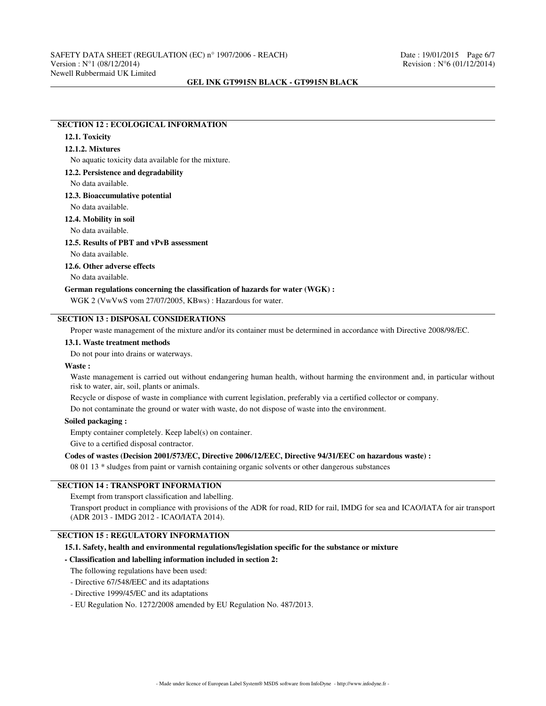## **SECTION 12 : ECOLOGICAL INFORMATION**

# **12.1. Toxicity**

## **12.1.2. Mixtures**

No aquatic toxicity data available for the mixture.

#### **12.2. Persistence and degradability**

No data available.

#### **12.3. Bioaccumulative potential**

No data available.

# **12.4. Mobility in soil**

No data available.

#### **12.5. Results of PBT and vPvB assessment**

No data available.

## **12.6. Other adverse effects**

No data available.

#### **German regulations concerning the classification of hazards for water (WGK) :**

WGK 2 (VwVwS vom 27/07/2005, KBws) : Hazardous for water.

# **SECTION 13 : DISPOSAL CONSIDERATIONS**

Proper waste management of the mixture and/or its container must be determined in accordance with Directive 2008/98/EC.

## **13.1. Waste treatment methods**

Do not pour into drains or waterways.

## **Waste :**

Waste management is carried out without endangering human health, without harming the environment and, in particular without risk to water, air, soil, plants or animals.

Recycle or dispose of waste in compliance with current legislation, preferably via a certified collector or company.

Do not contaminate the ground or water with waste, do not dispose of waste into the environment.

## **Soiled packaging :**

Empty container completely. Keep label(s) on container.

Give to a certified disposal contractor.

## **Codes of wastes (Decision 2001/573/EC, Directive 2006/12/EEC, Directive 94/31/EEC on hazardous waste) :**

08 01 13 \* sludges from paint or varnish containing organic solvents or other dangerous substances

# **SECTION 14 : TRANSPORT INFORMATION**

#### Exempt from transport classification and labelling.

Transport product in compliance with provisions of the ADR for road, RID for rail, IMDG for sea and ICAO/IATA for air transport (ADR 2013 - IMDG 2012 - ICAO/IATA 2014).

# **SECTION 15 : REGULATORY INFORMATION**

#### **15.1. Safety, health and environmental regulations/legislation specific for the substance or mixture**

## **- Classification and labelling information included in section 2:**

The following regulations have been used:

- Directive 67/548/EEC and its adaptations
- Directive 1999/45/EC and its adaptations
- EU Regulation No. 1272/2008 amended by EU Regulation No. 487/2013.